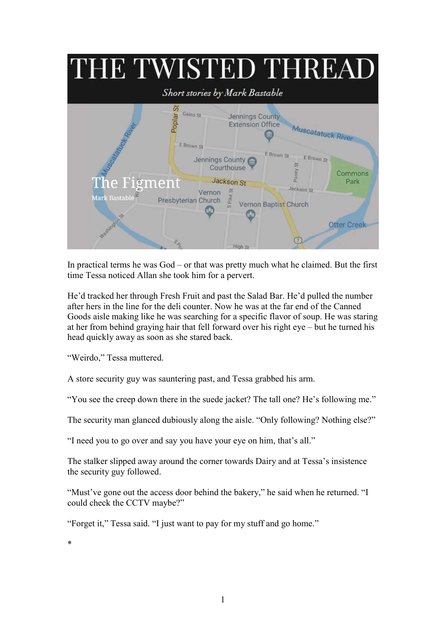

In practical terms he was God – or that was pretty much what he claimed. But the first time Tessa noticed Allan she took him for a pervert.

He'd tracked her through Fresh Fruit and past the Salad Bar. He'd pulled the number after hers in the line for the deli counter. Now he was at the far end of the Canned Goods aisle making like he was searching for a specific flavor of soup. He was staring at her from behind graying hair that fell forward over his right eye – but he turned his head quickly away as soon as she stared back.

"Weirdo," Tessa muttered.

A store security guy was sauntering past, and Tessa grabbed his arm.

"You see the creep down there in the suede jacket? The tall one? He's following me."

The security man glanced dubiously along the aisle. "Only following? Nothing else?"

"I need you to go over and say you have your eye on him, that's all."

The stalker slipped away around the corner towards Dairy and at Tessa's insistence the security guy followed.

"Must've gone out the access door behind the bakery," he said when he returned. "I could check the CCTV maybe?"

"Forget it," Tessa said. "I just want to pay for my stuff and go home."

\*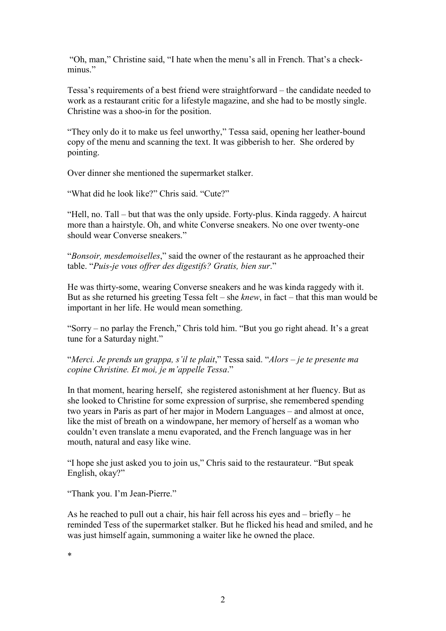"Oh, man," Christine said, "I hate when the menu's all in French. That's a checkminus"

Tessa's requirements of a best friend were straightforward – the candidate needed to work as a restaurant critic for a lifestyle magazine, and she had to be mostly single. Christine was a shoo-in for the position.

"They only do it to make us feel unworthy," Tessa said, opening her leather-bound copy of the menu and scanning the text. It was gibberish to her. She ordered by pointing.

Over dinner she mentioned the supermarket stalker.

"What did he look like?" Chris said. "Cute?"

"Hell, no. Tall – but that was the only upside. Forty-plus. Kinda raggedy. A haircut more than a hairstyle. Oh, and white Converse sneakers. No one over twenty-one should wear Converse sneakers."

"Bonsoir, mesdemoiselles," said the owner of the restaurant as he approached their table. "Puis-je vous offrer des digestifs? Gratis, bien sur."

He was thirty-some, wearing Converse sneakers and he was kinda raggedy with it. But as she returned his greeting Tessa felt – she *knew*, in fact – that this man would be important in her life. He would mean something.

"Sorry – no parlay the French," Chris told him. "But you go right ahead. It's a great tune for a Saturday night."

"Merci. Je prends un grappa, s'il te plait," Tessa said. "Alors – je te presente ma copine Christine. Et moi, je m'appelle Tessa."

In that moment, hearing herself, she registered astonishment at her fluency. But as she looked to Christine for some expression of surprise, she remembered spending two years in Paris as part of her major in Modern Languages – and almost at once, like the mist of breath on a windowpane, her memory of herself as a woman who couldn't even translate a menu evaporated, and the French language was in her mouth, natural and easy like wine.

"I hope she just asked you to join us," Chris said to the restaurateur. "But speak English, okay?"

"Thank you. I'm Jean-Pierre."

As he reached to pull out a chair, his hair fell across his eyes and – briefly – he reminded Tess of the supermarket stalker. But he flicked his head and smiled, and he was just himself again, summoning a waiter like he owned the place.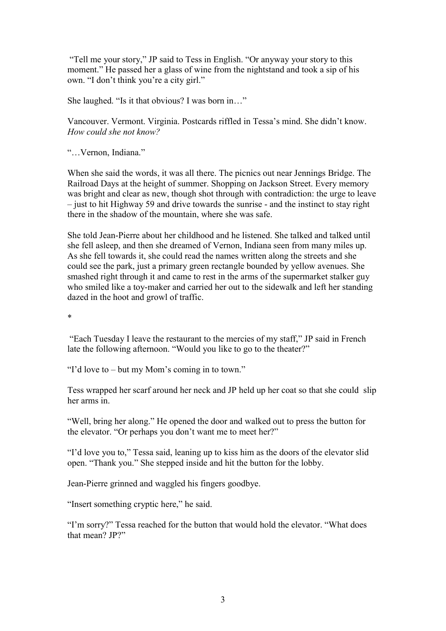"Tell me your story," JP said to Tess in English. "Or anyway your story to this moment." He passed her a glass of wine from the nightstand and took a sip of his own. "I don't think you're a city girl."

She laughed. "Is it that obvious? I was born in…"

Vancouver. Vermont. Virginia. Postcards riffled in Tessa's mind. She didn't know. How could she not know?

"…Vernon, Indiana."

When she said the words, it was all there. The picnics out near Jennings Bridge. The Railroad Days at the height of summer. Shopping on Jackson Street. Every memory was bright and clear as new, though shot through with contradiction: the urge to leave – just to hit Highway 59 and drive towards the sunrise - and the instinct to stay right there in the shadow of the mountain, where she was safe.

She told Jean-Pierre about her childhood and he listened. She talked and talked until she fell asleep, and then she dreamed of Vernon, Indiana seen from many miles up. As she fell towards it, she could read the names written along the streets and she could see the park, just a primary green rectangle bounded by yellow avenues. She smashed right through it and came to rest in the arms of the supermarket stalker guy who smiled like a toy-maker and carried her out to the sidewalk and left her standing dazed in the hoot and growl of traffic.

\*

 "Each Tuesday I leave the restaurant to the mercies of my staff," JP said in French late the following afternoon. "Would you like to go to the theater?"

"I'd love to – but my Mom's coming in to town."

Tess wrapped her scarf around her neck and JP held up her coat so that she could slip her arms in.

"Well, bring her along." He opened the door and walked out to press the button for the elevator. "Or perhaps you don't want me to meet her?"

"I'd love you to," Tessa said, leaning up to kiss him as the doors of the elevator slid open. "Thank you." She stepped inside and hit the button for the lobby.

Jean-Pierre grinned and waggled his fingers goodbye.

"Insert something cryptic here," he said.

"I'm sorry?" Tessa reached for the button that would hold the elevator. "What does that mean? JP?"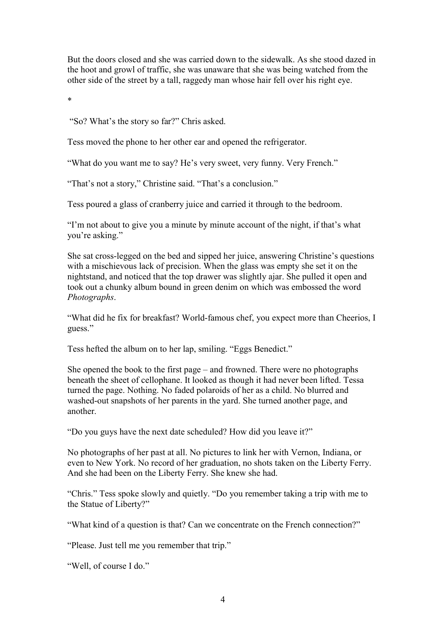But the doors closed and she was carried down to the sidewalk. As she stood dazed in the hoot and growl of traffic, she was unaware that she was being watched from the other side of the street by a tall, raggedy man whose hair fell over his right eye.

\*

"So? What's the story so far?" Chris asked.

Tess moved the phone to her other ear and opened the refrigerator.

"What do you want me to say? He's very sweet, very funny. Very French."

"That's not a story," Christine said. "That's a conclusion."

Tess poured a glass of cranberry juice and carried it through to the bedroom.

"I'm not about to give you a minute by minute account of the night, if that's what you're asking."

She sat cross-legged on the bed and sipped her juice, answering Christine's questions with a mischievous lack of precision. When the glass was empty she set it on the nightstand, and noticed that the top drawer was slightly ajar. She pulled it open and took out a chunky album bound in green denim on which was embossed the word Photographs.

"What did he fix for breakfast? World-famous chef, you expect more than Cheerios, I guess."

Tess hefted the album on to her lap, smiling. "Eggs Benedict."

She opened the book to the first page – and frowned. There were no photographs beneath the sheet of cellophane. It looked as though it had never been lifted. Tessa turned the page. Nothing. No faded polaroids of her as a child. No blurred and washed-out snapshots of her parents in the yard. She turned another page, and another.

"Do you guys have the next date scheduled? How did you leave it?"

No photographs of her past at all. No pictures to link her with Vernon, Indiana, or even to New York. No record of her graduation, no shots taken on the Liberty Ferry. And she had been on the Liberty Ferry. She knew she had.

"Chris." Tess spoke slowly and quietly. "Do you remember taking a trip with me to the Statue of Liberty?"

"What kind of a question is that? Can we concentrate on the French connection?"

"Please. Just tell me you remember that trip."

"Well, of course I do."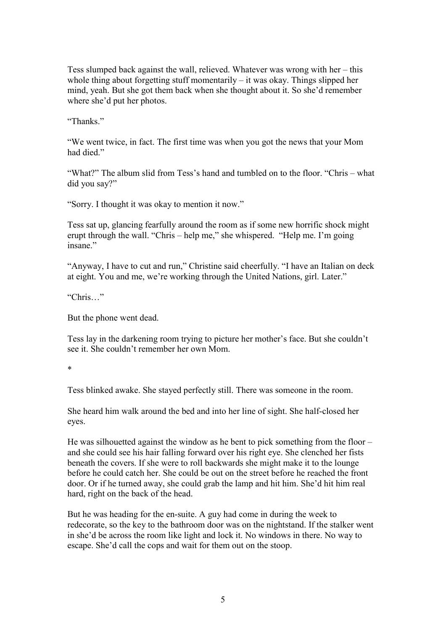Tess slumped back against the wall, relieved. Whatever was wrong with her – this whole thing about forgetting stuff momentarily  $-$  it was okay. Things slipped her mind, yeah. But she got them back when she thought about it. So she'd remember where she'd put her photos.

"Thanks."

"We went twice, in fact. The first time was when you got the news that your Mom had died."

"What?" The album slid from Tess's hand and tumbled on to the floor. "Chris – what did you say?"

"Sorry. I thought it was okay to mention it now."

Tess sat up, glancing fearfully around the room as if some new horrific shock might erupt through the wall. "Chris – help me," she whispered. "Help me. I'm going insane"

"Anyway, I have to cut and run," Christine said cheerfully. "I have an Italian on deck at eight. You and me, we're working through the United Nations, girl. Later."

"Chris…"

But the phone went dead.

Tess lay in the darkening room trying to picture her mother's face. But she couldn't see it. She couldn't remember her own Mom.

\*

Tess blinked awake. She stayed perfectly still. There was someone in the room.

She heard him walk around the bed and into her line of sight. She half-closed her eyes.

He was silhouetted against the window as he bent to pick something from the floor – and she could see his hair falling forward over his right eye. She clenched her fists beneath the covers. If she were to roll backwards she might make it to the lounge before he could catch her. She could be out on the street before he reached the front door. Or if he turned away, she could grab the lamp and hit him. She'd hit him real hard, right on the back of the head.

But he was heading for the en-suite. A guy had come in during the week to redecorate, so the key to the bathroom door was on the nightstand. If the stalker went in she'd be across the room like light and lock it. No windows in there. No way to escape. She'd call the cops and wait for them out on the stoop.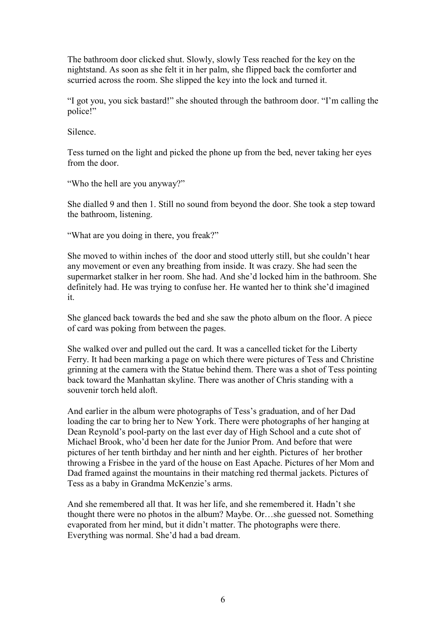The bathroom door clicked shut. Slowly, slowly Tess reached for the key on the nightstand. As soon as she felt it in her palm, she flipped back the comforter and scurried across the room. She slipped the key into the lock and turned it.

"I got you, you sick bastard!" she shouted through the bathroom door. "I'm calling the police!"

Silence.

Tess turned on the light and picked the phone up from the bed, never taking her eyes from the door.

"Who the hell are you anyway?"

She dialled 9 and then 1. Still no sound from beyond the door. She took a step toward the bathroom, listening.

"What are you doing in there, you freak?"

She moved to within inches of the door and stood utterly still, but she couldn't hear any movement or even any breathing from inside. It was crazy. She had seen the supermarket stalker in her room. She had. And she'd locked him in the bathroom. She definitely had. He was trying to confuse her. He wanted her to think she'd imagined it.

She glanced back towards the bed and she saw the photo album on the floor. A piece of card was poking from between the pages.

She walked over and pulled out the card. It was a cancelled ticket for the Liberty Ferry. It had been marking a page on which there were pictures of Tess and Christine grinning at the camera with the Statue behind them. There was a shot of Tess pointing back toward the Manhattan skyline. There was another of Chris standing with a souvenir torch held aloft.

And earlier in the album were photographs of Tess's graduation, and of her Dad loading the car to bring her to New York. There were photographs of her hanging at Dean Reynold's pool-party on the last ever day of High School and a cute shot of Michael Brook, who'd been her date for the Junior Prom. And before that were pictures of her tenth birthday and her ninth and her eighth. Pictures of her brother throwing a Frisbee in the yard of the house on East Apache. Pictures of her Mom and Dad framed against the mountains in their matching red thermal jackets. Pictures of Tess as a baby in Grandma McKenzie's arms.

And she remembered all that. It was her life, and she remembered it. Hadn't she thought there were no photos in the album? Maybe. Or…she guessed not. Something evaporated from her mind, but it didn't matter. The photographs were there. Everything was normal. She'd had a bad dream.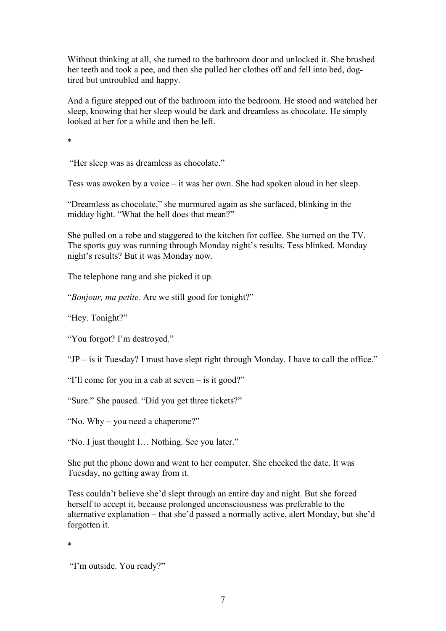Without thinking at all, she turned to the bathroom door and unlocked it. She brushed her teeth and took a pee, and then she pulled her clothes off and fell into bed, dogtired but untroubled and happy.

And a figure stepped out of the bathroom into the bedroom. He stood and watched her sleep, knowing that her sleep would be dark and dreamless as chocolate. He simply looked at her for a while and then he left.

\*

"Her sleep was as dreamless as chocolate."

Tess was awoken by a voice – it was her own. She had spoken aloud in her sleep.

"Dreamless as chocolate," she murmured again as she surfaced, blinking in the midday light. "What the hell does that mean?"

She pulled on a robe and staggered to the kitchen for coffee. She turned on the TV. The sports guy was running through Monday night's results. Tess blinked. Monday night's results? But it was Monday now.

The telephone rang and she picked it up.

"Bonjour, ma petite. Are we still good for tonight?"

"Hey. Tonight?"

"You forgot? I'm destroyed."

"JP – is it Tuesday? I must have slept right through Monday. I have to call the office."

"I'll come for you in a cab at seven – is it good?"

"Sure." She paused. "Did you get three tickets?"

"No. Why – you need a chaperone?"

"No. I just thought I… Nothing. See you later."

She put the phone down and went to her computer. She checked the date. It was Tuesday, no getting away from it.

Tess couldn't believe she'd slept through an entire day and night. But she forced herself to accept it, because prolonged unconsciousness was preferable to the alternative explanation – that she'd passed a normally active, alert Monday, but she'd forgotten it.

\*

 <sup>&</sup>quot;I'm outside. You ready?"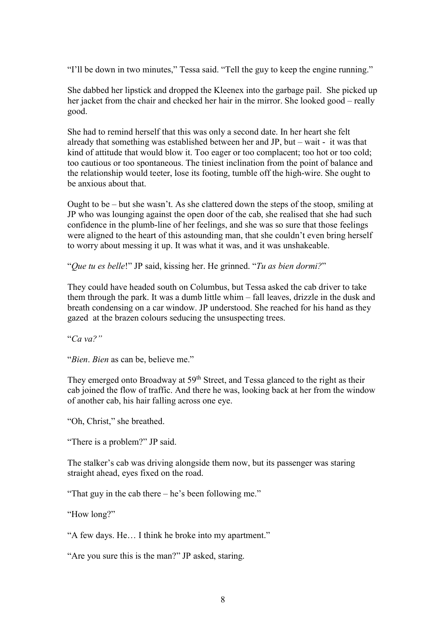"I'll be down in two minutes," Tessa said. "Tell the guy to keep the engine running."

She dabbed her lipstick and dropped the Kleenex into the garbage pail. She picked up her jacket from the chair and checked her hair in the mirror. She looked good – really good.

She had to remind herself that this was only a second date. In her heart she felt already that something was established between her and JP, but – wait - it was that kind of attitude that would blow it. Too eager or too complacent; too hot or too cold; too cautious or too spontaneous. The tiniest inclination from the point of balance and the relationship would teeter, lose its footing, tumble off the high-wire. She ought to be anxious about that.

Ought to be – but she wasn't. As she clattered down the steps of the stoop, smiling at JP who was lounging against the open door of the cab, she realised that she had such confidence in the plumb-line of her feelings, and she was so sure that those feelings were aligned to the heart of this astounding man, that she couldn't even bring herself to worry about messing it up. It was what it was, and it was unshakeable.

"Que tu es belle!" JP said, kissing her. He grinned. "Tu as bien dormi?"

They could have headed south on Columbus, but Tessa asked the cab driver to take them through the park. It was a dumb little whim – fall leaves, drizzle in the dusk and breath condensing on a car window. JP understood. She reached for his hand as they gazed at the brazen colours seducing the unsuspecting trees.

"Ca va?"

"Bien. Bien as can be, believe me."

They emerged onto Broadway at 59<sup>th</sup> Street, and Tessa glanced to the right as their cab joined the flow of traffic. And there he was, looking back at her from the window of another cab, his hair falling across one eye.

"Oh, Christ," she breathed.

"There is a problem?" JP said.

The stalker's cab was driving alongside them now, but its passenger was staring straight ahead, eyes fixed on the road.

"That guy in the cab there – he's been following me."

"How long?"

"A few days. He… I think he broke into my apartment."

"Are you sure this is the man?" JP asked, staring.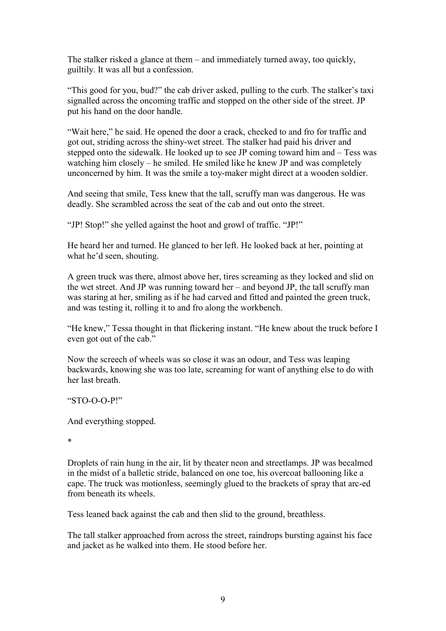The stalker risked a glance at them – and immediately turned away, too quickly, guiltily. It was all but a confession.

"This good for you, bud?" the cab driver asked, pulling to the curb. The stalker's taxi signalled across the oncoming traffic and stopped on the other side of the street. JP put his hand on the door handle.

"Wait here," he said. He opened the door a crack, checked to and fro for traffic and got out, striding across the shiny-wet street. The stalker had paid his driver and stepped onto the sidewalk. He looked up to see JP coming toward him and – Tess was watching him closely – he smiled. He smiled like he knew JP and was completely unconcerned by him. It was the smile a toy-maker might direct at a wooden soldier.

And seeing that smile, Tess knew that the tall, scruffy man was dangerous. He was deadly. She scrambled across the seat of the cab and out onto the street.

"JP! Stop!" she yelled against the hoot and growl of traffic. "JP!"

He heard her and turned. He glanced to her left. He looked back at her, pointing at what he'd seen, shouting.

A green truck was there, almost above her, tires screaming as they locked and slid on the wet street. And JP was running toward her – and beyond JP, the tall scruffy man was staring at her, smiling as if he had carved and fitted and painted the green truck, and was testing it, rolling it to and fro along the workbench.

"He knew," Tessa thought in that flickering instant. "He knew about the truck before I even got out of the cab."

Now the screech of wheels was so close it was an odour, and Tess was leaping backwards, knowing she was too late, screaming for want of anything else to do with her last breath.

"STO-O-O-P!"

And everything stopped.

\*

Droplets of rain hung in the air, lit by theater neon and streetlamps. JP was becalmed in the midst of a balletic stride, balanced on one toe, his overcoat ballooning like a cape. The truck was motionless, seemingly glued to the brackets of spray that arc-ed from beneath its wheels.

Tess leaned back against the cab and then slid to the ground, breathless.

The tall stalker approached from across the street, raindrops bursting against his face and jacket as he walked into them. He stood before her.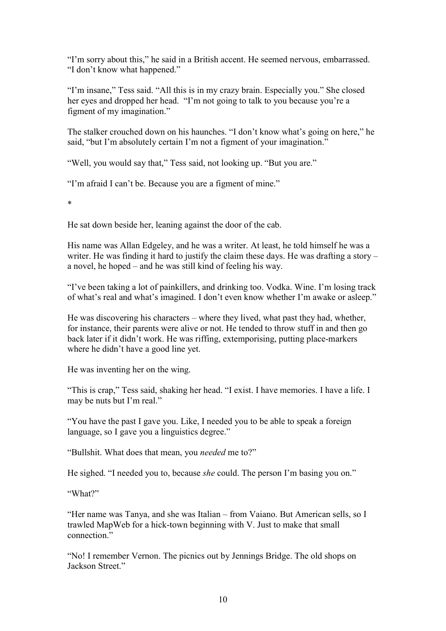"I'm sorry about this," he said in a British accent. He seemed nervous, embarrassed. "I don't know what happened."

"I'm insane," Tess said. "All this is in my crazy brain. Especially you." She closed her eyes and dropped her head. "I'm not going to talk to you because you're a figment of my imagination."

The stalker crouched down on his haunches. "I don't know what's going on here," he said, "but I'm absolutely certain I'm not a figment of your imagination."

"Well, you would say that," Tess said, not looking up. "But you are."

"I'm afraid I can't be. Because you are a figment of mine."

\*

He sat down beside her, leaning against the door of the cab.

His name was Allan Edgeley, and he was a writer. At least, he told himself he was a writer. He was finding it hard to justify the claim these days. He was drafting a story – a novel, he hoped – and he was still kind of feeling his way.

"I've been taking a lot of painkillers, and drinking too. Vodka. Wine. I'm losing track of what's real and what's imagined. I don't even know whether I'm awake or asleep."

He was discovering his characters – where they lived, what past they had, whether, for instance, their parents were alive or not. He tended to throw stuff in and then go back later if it didn't work. He was riffing, extemporising, putting place-markers where he didn't have a good line yet.

He was inventing her on the wing.

"This is crap," Tess said, shaking her head. "I exist. I have memories. I have a life. I may be nuts but I'm real."

"You have the past I gave you. Like, I needed you to be able to speak a foreign language, so I gave you a linguistics degree."

"Bullshit. What does that mean, you needed me to?"

He sighed. "I needed you to, because *she* could. The person I'm basing you on."

"What?"

"Her name was Tanya, and she was Italian – from Vaiano. But American sells, so I trawled MapWeb for a hick-town beginning with V. Just to make that small connection."

"No! I remember Vernon. The picnics out by Jennings Bridge. The old shops on Jackson Street."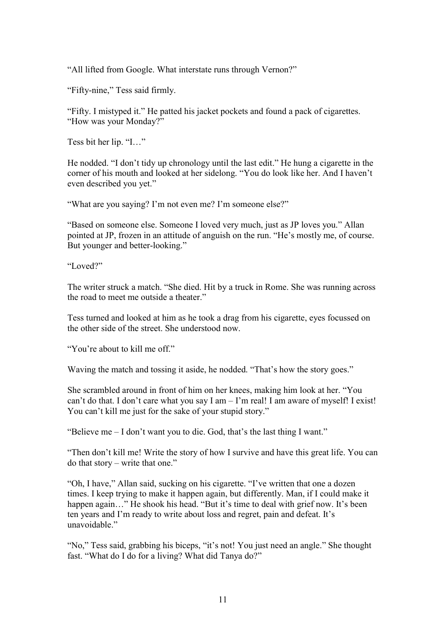"All lifted from Google. What interstate runs through Vernon?"

"Fifty-nine," Tess said firmly.

"Fifty. I mistyped it." He patted his jacket pockets and found a pack of cigarettes. "How was your Monday?"

Tess bit her lip. "I…"

He nodded. "I don't tidy up chronology until the last edit." He hung a cigarette in the corner of his mouth and looked at her sidelong. "You do look like her. And I haven't even described you yet."

"What are you saying? I'm not even me? I'm someone else?"

"Based on someone else. Someone I loved very much, just as JP loves you." Allan pointed at JP, frozen in an attitude of anguish on the run. "He's mostly me, of course. But younger and better-looking."

"Loved?"

The writer struck a match. "She died. Hit by a truck in Rome. She was running across the road to meet me outside a theater."

Tess turned and looked at him as he took a drag from his cigarette, eyes focussed on the other side of the street. She understood now.

"You're about to kill me off."

Waving the match and tossing it aside, he nodded. "That's how the story goes."

She scrambled around in front of him on her knees, making him look at her. "You can't do that. I don't care what you say I am – I'm real! I am aware of myself! I exist! You can't kill me just for the sake of your stupid story."

"Believe me – I don't want you to die. God, that's the last thing I want."

"Then don't kill me! Write the story of how I survive and have this great life. You can do that story – write that one."

"Oh, I have," Allan said, sucking on his cigarette. "I've written that one a dozen times. I keep trying to make it happen again, but differently. Man, if I could make it happen again..." He shook his head. "But it's time to deal with grief now. It's been ten years and I'm ready to write about loss and regret, pain and defeat. It's unavoidable."

"No," Tess said, grabbing his biceps, "it's not! You just need an angle." She thought fast. "What do I do for a living? What did Tanya do?"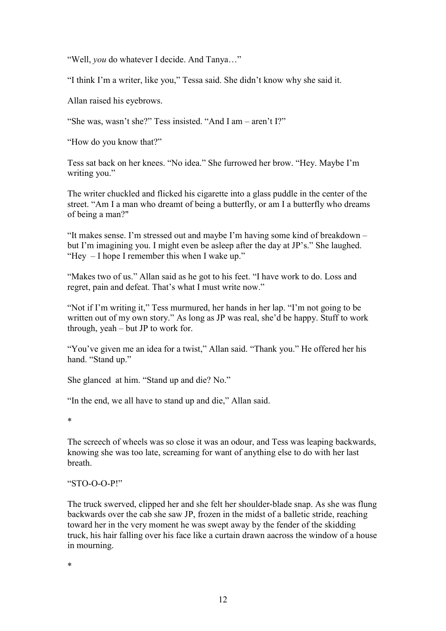"Well, you do whatever I decide. And Tanya…"

"I think I'm a writer, like you," Tessa said. She didn't know why she said it.

Allan raised his eyebrows.

"She was, wasn't she?" Tess insisted. "And I am – aren't I?"

"How do you know that?"

Tess sat back on her knees. "No idea." She furrowed her brow. "Hey. Maybe I'm writing you."

The writer chuckled and flicked his cigarette into a glass puddle in the center of the street. "Am I a man who dreamt of being a butterfly, or am I a butterfly who dreams of being a man?"

"It makes sense. I'm stressed out and maybe I'm having some kind of breakdown – but I'm imagining you. I might even be asleep after the day at JP's." She laughed. "Hey – I hope I remember this when I wake up."

"Makes two of us." Allan said as he got to his feet. "I have work to do. Loss and regret, pain and defeat. That's what I must write now."

"Not if I'm writing it," Tess murmured, her hands in her lap. "I'm not going to be written out of my own story." As long as JP was real, she'd be happy. Stuff to work through, yeah – but JP to work for.

"You've given me an idea for a twist," Allan said. "Thank you." He offered her his hand. "Stand up."

She glanced at him. "Stand up and die? No."

"In the end, we all have to stand up and die," Allan said.

\*

The screech of wheels was so close it was an odour, and Tess was leaping backwards, knowing she was too late, screaming for want of anything else to do with her last breath.

## "STO-O-O-P!"

The truck swerved, clipped her and she felt her shoulder-blade snap. As she was flung backwards over the cab she saw JP, frozen in the midst of a balletic stride, reaching toward her in the very moment he was swept away by the fender of the skidding truck, his hair falling over his face like a curtain drawn aacross the window of a house in mourning.